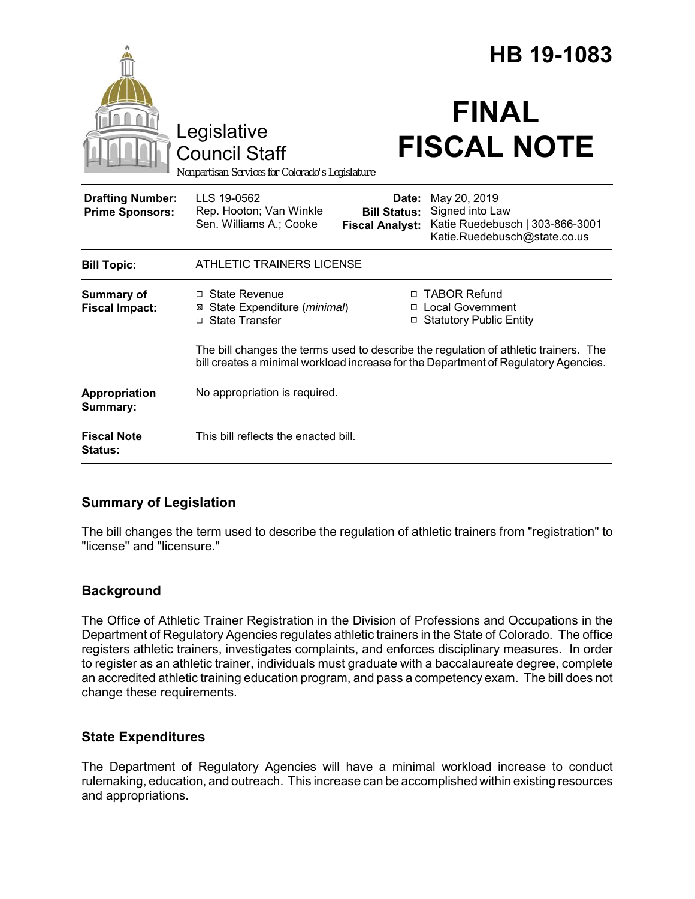|                                                   |                                                                                                                                                                             | HB 19-1083                                             |                                                                                                    |
|---------------------------------------------------|-----------------------------------------------------------------------------------------------------------------------------------------------------------------------------|--------------------------------------------------------|----------------------------------------------------------------------------------------------------|
|                                                   | Legislative<br><b>Council Staff</b><br>Nonpartisan Services for Colorado's Legislature                                                                                      |                                                        | <b>FINAL</b><br><b>FISCAL NOTE</b>                                                                 |
| <b>Drafting Number:</b><br><b>Prime Sponsors:</b> | LLS 19-0562<br>Rep. Hooton; Van Winkle<br>Sen. Williams A.; Cooke                                                                                                           | Date:<br><b>Bill Status:</b><br><b>Fiscal Analyst:</b> | May 20, 2019<br>Signed into Law<br>Katie Ruedebusch   303-866-3001<br>Katie.Ruedebusch@state.co.us |
| <b>Bill Topic:</b>                                | <b>ATHLETIC TRAINERS LICENSE</b>                                                                                                                                            |                                                        |                                                                                                    |
| <b>Summary of</b><br><b>Fiscal Impact:</b>        | $\Box$ State Revenue<br>⊠ State Expenditure (minimal)<br>□ State Transfer                                                                                                   | □                                                      | □ TABOR Refund<br>□ Local Government<br><b>Statutory Public Entity</b>                             |
|                                                   | The bill changes the terms used to describe the regulation of athletic trainers. The<br>bill creates a minimal workload increase for the Department of Regulatory Agencies. |                                                        |                                                                                                    |
| Appropriation<br>Summary:                         | No appropriation is required.                                                                                                                                               |                                                        |                                                                                                    |
| <b>Fiscal Note</b><br><b>Status:</b>              | This bill reflects the enacted bill.                                                                                                                                        |                                                        |                                                                                                    |

## **Summary of Legislation**

The bill changes the term used to describe the regulation of athletic trainers from "registration" to "license" and "licensure."

## **Background**

The Office of Athletic Trainer Registration in the Division of Professions and Occupations in the Department of Regulatory Agencies regulates athletic trainers in the State of Colorado. The office registers athletic trainers, investigates complaints, and enforces disciplinary measures. In order to register as an athletic trainer, individuals must graduate with a baccalaureate degree, complete an accredited athletic training education program, and pass a competency exam. The bill does not change these requirements.

## **State Expenditures**

The Department of Regulatory Agencies will have a minimal workload increase to conduct rulemaking, education, and outreach. This increase can be accomplished within existing resources and appropriations.